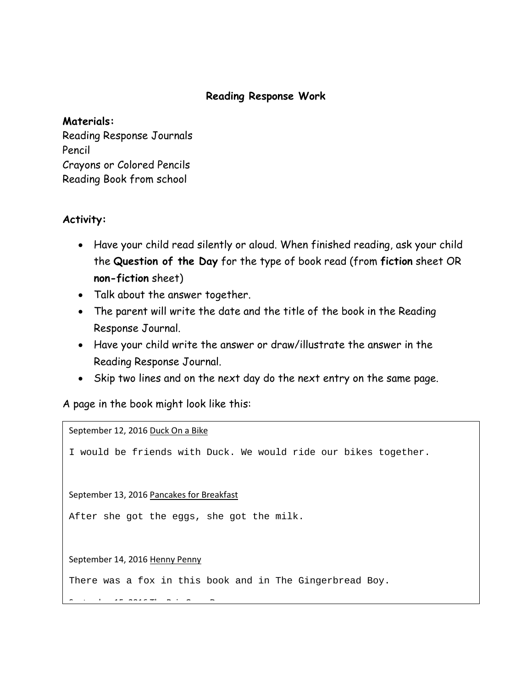## **Reading Response Work**

#### **Materials:**

Reading Response Journals Pencil Crayons or Colored Pencils Reading Book from school

## **Activity:**

- Have your child read silently or aloud. When finished reading, ask your child the **Question of the Day** for the type of book read (from **fiction** sheet OR **non-fiction** sheet)
- Talk about the answer together.
- The parent will write the date and the title of the book in the Reading Response Journal.
- Have your child write the answer or draw/illustrate the answer in the Reading Response Journal.
- Skip two lines and on the next day do the next entry on the same page.

A page in the book might look like this:

<u>s t b 15 2016 Th R i C D i C D i C D i C D i C D i C D i C D i C D i C D i C D i C D i C D i C D i C D i C D i</u><br>.

September 12, 2016 Duck On a Bike I would be friends with Duck. We would ride our bikes together. September 13, 2016 Pancakes for Breakfast After she got the eggs, she got the milk. September 14, 2016 Henny Penny There was a fox in this book and in The Gingerbread Boy.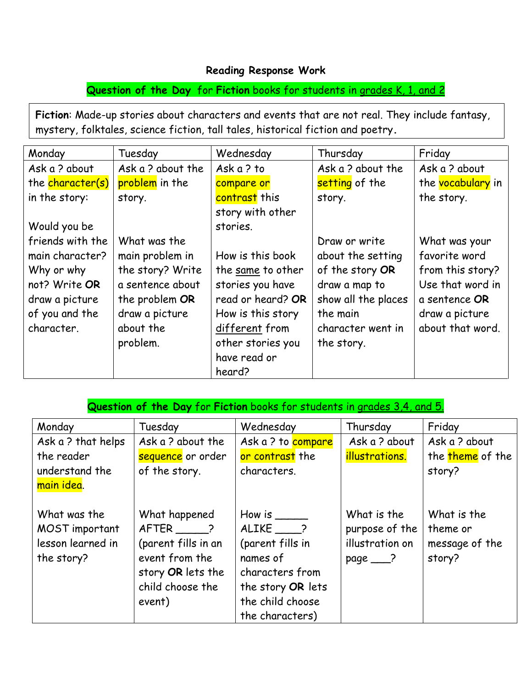## **Reading Response Work**

**Question of the Day** for **Fiction** books for students in grades K, 1, and 2

**Fiction**: Made-up stories about characters and events that are not real. They include fantasy, mystery, folktales, science fiction, tall tales, historical fiction and poetry**.**

| Monday           | Tuesday           | Wednesday         | Thursday            | Friday            |
|------------------|-------------------|-------------------|---------------------|-------------------|
| Ask a ? about    | Ask a ? about the | Ask a ? to        | Ask a ? about the   | Ask a ? about     |
| the character(s) | problem in the    | compare or        | setting of the      | the vocabulary in |
| in the story:    | story.            | contrast this     | story.              | the story.        |
|                  |                   | story with other  |                     |                   |
| Would you be     |                   | stories.          |                     |                   |
| friends with the | What was the      |                   | Draw or write       | What was your     |
| main character?  | main problem in   | How is this book  | about the setting   | favorite word     |
| Why or why       | the story? Write  | the same to other | of the story OR     | from this story?  |
| not? Write OR    | a sentence about  | stories you have  | draw a map to       | Use that word in  |
| draw a picture   | the problem OR    | read or heard? OR | show all the places | a sentence OR     |
| of you and the   | draw a picture    | How is this story | the main            | draw a picture    |
| character.       | about the         | different from    | character went in   | about that word.  |
|                  | problem.          | other stories you | the story.          |                   |
|                  |                   | have read or      |                     |                   |
|                  |                   | heard?            |                     |                   |

| Question of the Day for Fiction books for students in grades 3,4, and 5. |                                                                                                                      |                                                                                                                                  |                                                                          |                                                     |
|--------------------------------------------------------------------------|----------------------------------------------------------------------------------------------------------------------|----------------------------------------------------------------------------------------------------------------------------------|--------------------------------------------------------------------------|-----------------------------------------------------|
| Monday                                                                   | Tuesday                                                                                                              | Wednesday                                                                                                                        | Thursday                                                                 | Friday                                              |
| Ask a ? that helps                                                       | Ask a ? about the                                                                                                    | Ask a ? to compare                                                                                                               | Ask a ? about                                                            | Ask a ? about                                       |
| the reader                                                               | sequence or order                                                                                                    | or contrast the                                                                                                                  | illustrations.                                                           | the <b>theme</b> of the                             |
| understand the                                                           | of the story.                                                                                                        | characters.                                                                                                                      |                                                                          | story?                                              |
| main idea.                                                               |                                                                                                                      |                                                                                                                                  |                                                                          |                                                     |
| What was the<br>MOST important<br>lesson learned in<br>the story?        | What happened<br>AFTER ?<br>(parent fills in an<br>event from the<br>story OR lets the<br>child choose the<br>event) | How is<br>ALIKE ?<br>(parent fills in<br>names of<br>characters from<br>the story OR lets<br>the child choose<br>the characters) | What is the<br>purpose of the<br>illustration on<br>$page$ $\rightarrow$ | What is the<br>theme or<br>message of the<br>story? |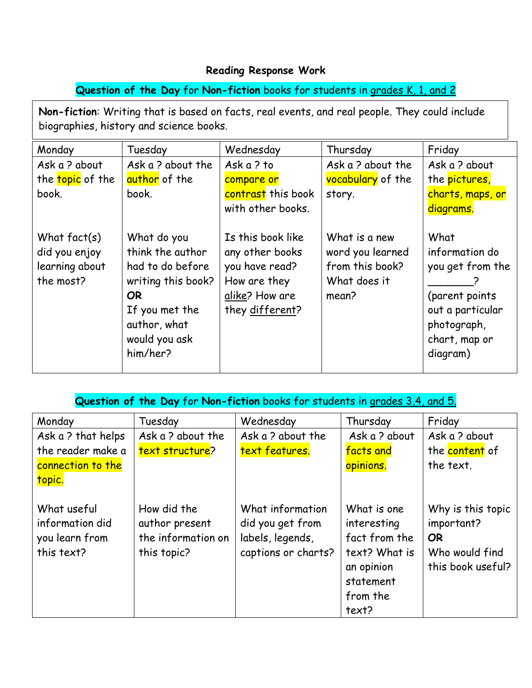## **Reading Response Work**

# **Question of the Day** for **Non-fiction** books for students in grades K, 1, and 2

**Non-fiction**: Writing that is based on facts, real events, and real people. They could include biographies, history and science books.

| Monday                                                         | Tuesday                                                                                                                                         | Wednesday                                                                                                   | Thursday                                                                      | Friday                                                                                                                       |
|----------------------------------------------------------------|-------------------------------------------------------------------------------------------------------------------------------------------------|-------------------------------------------------------------------------------------------------------------|-------------------------------------------------------------------------------|------------------------------------------------------------------------------------------------------------------------------|
| Ask a? about                                                   | Ask a ? about the                                                                                                                               | Ask a ? to                                                                                                  | Ask a? about the                                                              | Ask a ? about                                                                                                                |
| the topic of the                                               | author of the                                                                                                                                   | compare or                                                                                                  | vocabulary of the                                                             | the pictures,                                                                                                                |
| book.                                                          | book.                                                                                                                                           | contrast this book                                                                                          | story.                                                                        | charts, maps, or                                                                                                             |
|                                                                |                                                                                                                                                 | with other books.                                                                                           |                                                                               | diagrams.                                                                                                                    |
| What $fact(s)$<br>did you enjoy<br>learning about<br>the most? | What do you<br>think the author<br>had to do before<br>writing this book?<br>OR.<br>If you met the<br>author, what<br>would you ask<br>him/her? | Is this book like<br>any other books<br>you have read?<br>How are they<br>alike? How are<br>they different? | What is a new<br>word you learned<br>from this book?<br>What does it<br>mean? | What<br>information do<br>you get from the<br>(parent points<br>out a particular<br>photograph,<br>chart, map or<br>diagram) |

| Question of the Day for Non-fiction books for students in grades 3,4, and 5. |                                                                    |                                                                                 |                                                                            |                                                                              |
|------------------------------------------------------------------------------|--------------------------------------------------------------------|---------------------------------------------------------------------------------|----------------------------------------------------------------------------|------------------------------------------------------------------------------|
| Monday                                                                       | Tuesday                                                            | Wednesday                                                                       | Thursday                                                                   | Friday                                                                       |
| Ask a ? that helps                                                           | Ask a ? about the                                                  | Ask a ? about the                                                               | Ask a ? about                                                              | Ask a ? about                                                                |
| the reader make a                                                            | text structure?                                                    | text features.                                                                  | facts and                                                                  | the content of                                                               |
| connection to the                                                            |                                                                    |                                                                                 | opinions.                                                                  | the text.                                                                    |
| topic.                                                                       |                                                                    |                                                                                 |                                                                            |                                                                              |
| What useful<br>information did<br>you learn from<br>this text?               | How did the<br>author present<br>the information on<br>this topic? | What information<br>did you get from<br>labels, legends,<br>captions or charts? | What is one<br>interesting<br>fact from the<br>text? What is<br>an opinion | Why is this topic<br>important?<br>OR<br>Who would find<br>this book useful? |

statement from the

text?